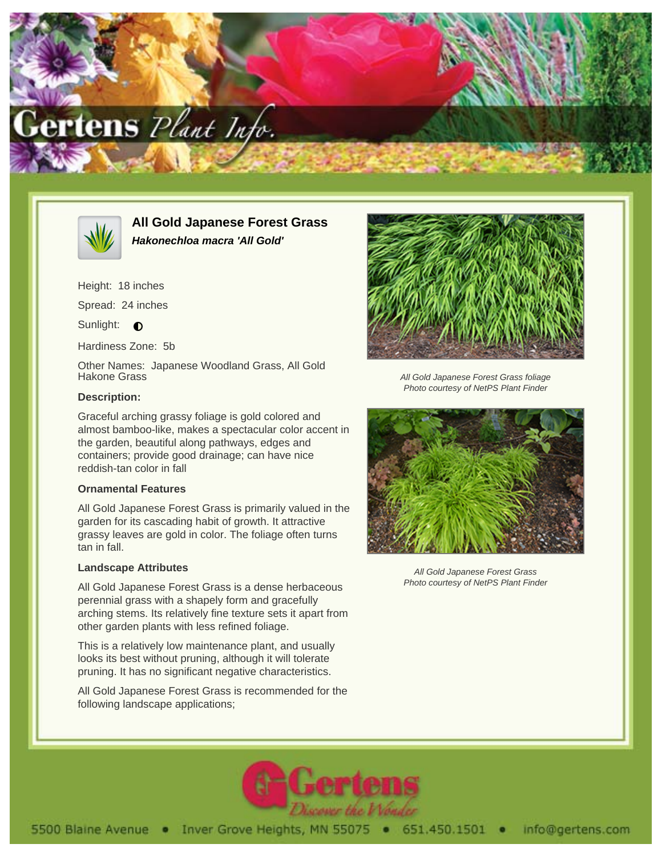



**All Gold Japanese Forest Grass Hakonechloa macra 'All Gold'**

Height: 18 inches

Spread: 24 inches

Sunlight: **O** 

Hardiness Zone: 5b

Other Names: Japanese Woodland Grass, All Gold Hakone Grass

## **Description:**

Graceful arching grassy foliage is gold colored and almost bamboo-like, makes a spectacular color accent in the garden, beautiful along pathways, edges and containers; provide good drainage; can have nice reddish-tan color in fall

## **Ornamental Features**

All Gold Japanese Forest Grass is primarily valued in the garden for its cascading habit of growth. It attractive grassy leaves are gold in color. The foliage often turns tan in fall.

## **Landscape Attributes**

All Gold Japanese Forest Grass is a dense herbaceous perennial grass with a shapely form and gracefully arching stems. Its relatively fine texture sets it apart from other garden plants with less refined foliage.

This is a relatively low maintenance plant, and usually looks its best without pruning, although it will tolerate pruning. It has no significant negative characteristics.

All Gold Japanese Forest Grass is recommended for the following landscape applications;



All Gold Japanese Forest Grass foliage Photo courtesy of NetPS Plant Finder



All Gold Japanese Forest Grass Photo courtesy of NetPS Plant Finder